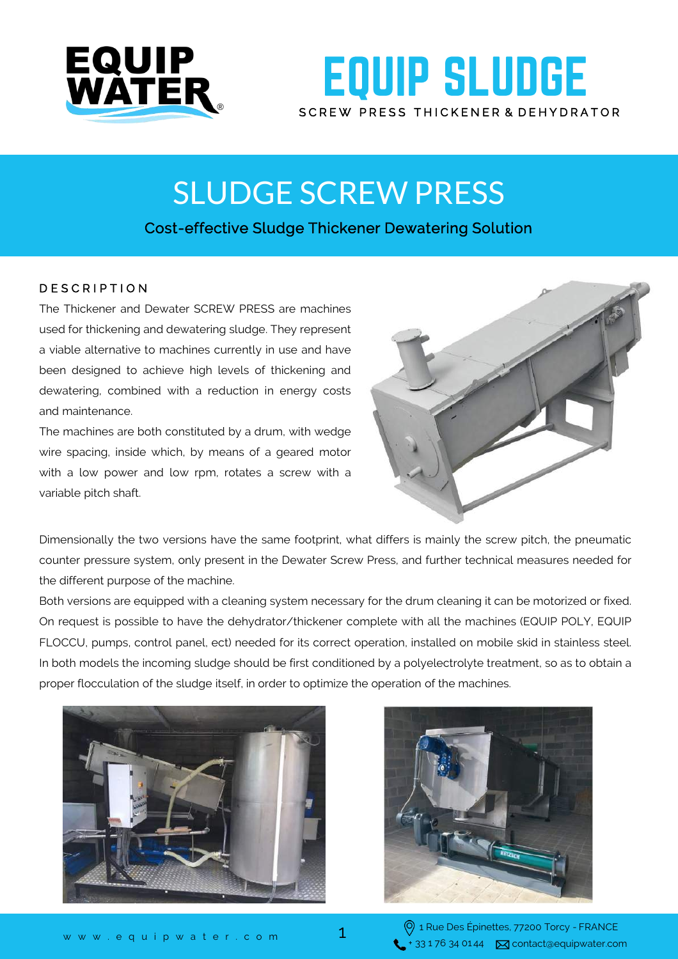

## **EQUIP SLUDGE** SCREW PRESS THICKENER & DEHYDRATOR

# SLUDGE SCREW PRESS

### Cost-effective Sludge Thickener Dewatering Solution

#### D E S C R I P T I O N

The Thickener and Dewater SCREW PRESS are machines used for thickening and dewatering sludge. They represent a viable alternative to machines currently in use and have been designed to achieve high levels of thickening and dewatering, combined with a reduction in energy costs and maintenance.

The machines are both constituted by a drum, with wedge wire spacing, inside which, by means of a geared motor with a low power and low rpm, rotates a screw with a variable pitch shaft.



Dimensionally the two versions have the same footprint, what differs is mainly the screw pitch, the pneumatic counter pressure system, only present in the Dewater Screw Press, and further technical measures needed for the different purpose of the machine.

Both versions are equipped with a cleaning system necessary for the drum cleaning it can be motorized or fixed. On request is possible to have the dehydrator/thickener complete with all the machines (EQUIP POLY, EQUIP FLOCCU, pumps, control panel, ect) needed for its correct operation, installed on mobile skid in stainless steel. In both models the incoming sludge should be first conditioned by a polyelectrolyte treatment, so as to obtain a proper flocculation of the sludge itself, in order to optimize the operation of the machines.





1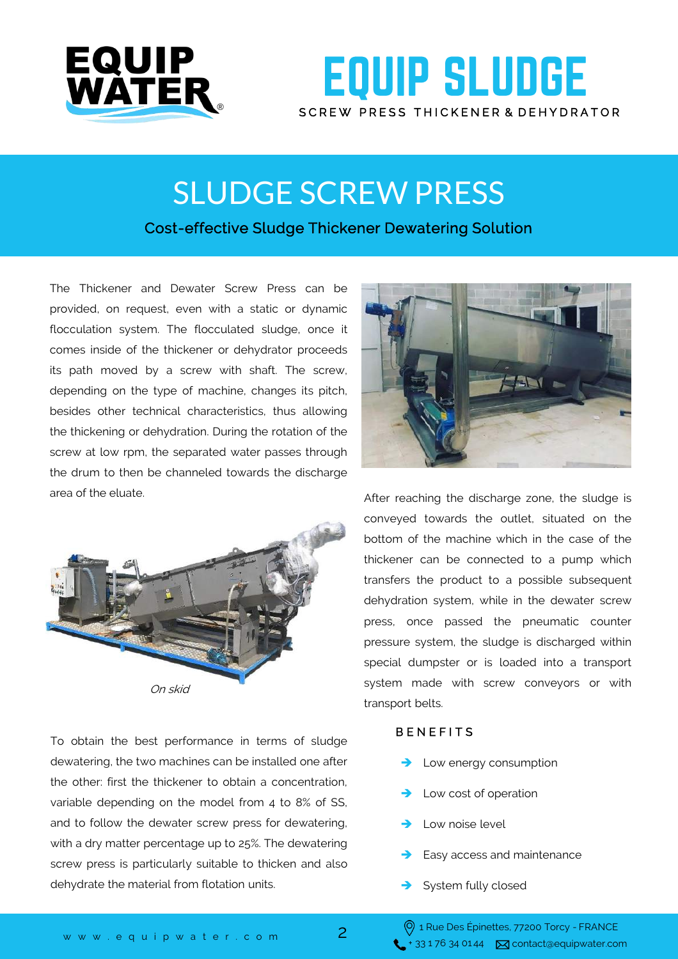

### **EQUIP SLUDGE** SCREW PRESS THICKENER & DEHYDRATOR

## SLUDGE SCREW PRESS

### Cost-effective Sludge Thickener Dewatering Solution

The Thickener and Dewater Screw Press can be provided, on request, even with a static or dynamic flocculation system. The flocculated sludge, once it comes inside of the thickener or dehydrator proceeds its path moved by a screw with shaft. The screw, depending on the type of machine, changes its pitch, besides other technical characteristics, thus allowing the thickening or dehydration. During the rotation of the screw at low rpm, the separated water passes through the drum to then be channeled towards the discharge area of the eluate.



To obtain the best performance in terms of sludge dewatering, the two machines can be installed one after the other: first the thickener to obtain a concentration, variable depending on the model from 4 to 8% of SS, and to follow the dewater screw press for dewatering, with a dry matter percentage up to 25%. The dewatering screw press is particularly suitable to thicken and also dehydrate the material from flotation units.



After reaching the discharge zone, the sludge is conveyed towards the outlet, situated on the bottom of the machine which in the case of the thickener can be connected to a pump which transfers the product to a possible subsequent dehydration system, while in the dewater screw press, once passed the pneumatic counter pressure system, the sludge is discharged within special dumpster or is loaded into a transport system made with screw conveyors or with transport belts.

#### **BENEFITS**

- Low energy consumption
- $\rightarrow$  Low cost of operation
- Low noise level
- Easy access and maintenance
- System fully closed

2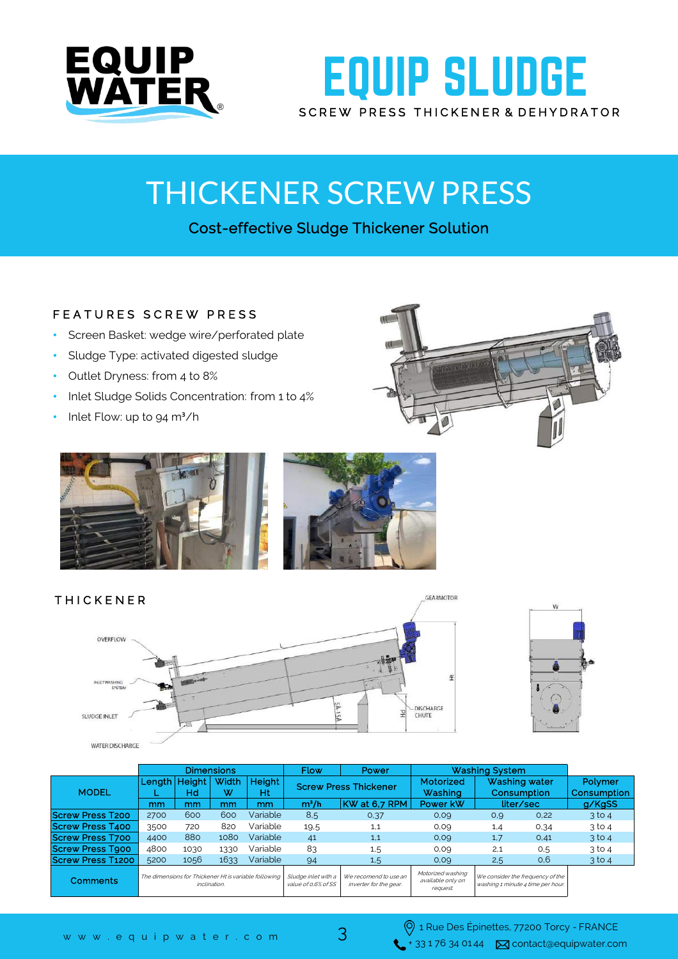

## **EQUIP SLUDGE** SCREW PRESS THICKENER & DEHYDRATOR

# THICKENER SCREW PRESS

### Cost-effective Sludge Thickener Solution

#### FEATURES SCREW PRESS

- Screen Basket: wedge wire/perforated plate
- Sludge Type: activated digested sludge
- Outlet Dryness: from 4 to 8%
- Inlet Sludge Solids Concentration: from 1 to 4%
- Inlet Flow: up to 94 m<sup>3</sup>/h













| WATER DISCHARGE          | - 111919<br><b>CALL</b><br><b>Concertibility</b><br>$\mathcal{C}_{\mathbf{a}}$ . |              |            |              |                                            |                                                 |                                                   |                                                                       |      |                               |
|--------------------------|----------------------------------------------------------------------------------|--------------|------------|--------------|--------------------------------------------|-------------------------------------------------|---------------------------------------------------|-----------------------------------------------------------------------|------|-------------------------------|
|                          | <b>Dimensions</b>                                                                |              |            |              | <b>Flow</b>                                | Power<br><b>Washing System</b>                  |                                                   |                                                                       |      |                               |
| <b>MODEL</b>             | Length                                                                           | Height<br>Hd | Width<br>w | Height<br>Ht |                                            | <b>Screw Press Thickener</b>                    | Motorized<br>Washing                              | Washing water<br>Consumption                                          |      | <b>Polymer</b><br>Consumption |
|                          | mm                                                                               | mm           | mm         | mm           | m <sup>3</sup> /h                          | KW at 6.7 RPM                                   | Power kW                                          | liter/sec                                                             |      | g/KgSS                        |
| <b>Screw Press T200</b>  | 2700                                                                             | 600          | 600        | Variable     | 8,5                                        | 0,37                                            | 0,09                                              | 0,9                                                                   | 0,22 | $3$ to 4                      |
| <b>Screw Press T400</b>  | 3500                                                                             | 720          | 820        | Variable     | 19,5                                       | 1,1                                             | 0.09                                              | 1,4                                                                   | 0,34 | $3$ to 4                      |
| <b>Screw Press T700</b>  | 4400                                                                             | 880          | 1080       | Variable     | 41                                         | 1.1                                             | 0,09                                              | 1,7                                                                   | 0,41 | $3$ to 4                      |
| <b>Screw Press Tgoo</b>  | 4800                                                                             | 1030         | 1330       | Variable     | 83                                         | 1,5                                             | 0.09                                              | 2,1                                                                   | 0,5  | $3$ to 4                      |
| <b>Screw Press T1200</b> | 5200                                                                             | 1056         | 1633       | Variable     | 94                                         | 1,5                                             | 0.09                                              | 2,5                                                                   | 0,6  | $3$ to 4                      |
| <b>Comments</b>          | The dimensions for Thickener Ht is variable following<br>inclination.            |              |            |              | Sludge inlet with a<br>value of 0.6% of SS | We recomend to use an<br>inverter for the gear. | Motorized washing<br>available only on<br>request | We consider the frequency of the<br>washing 1 minute 4 time per hour. |      |                               |